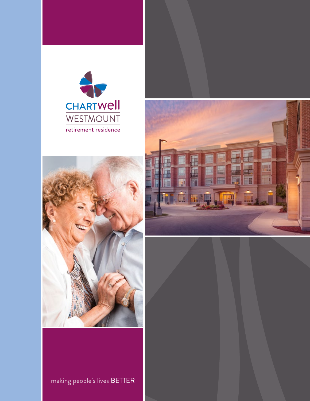





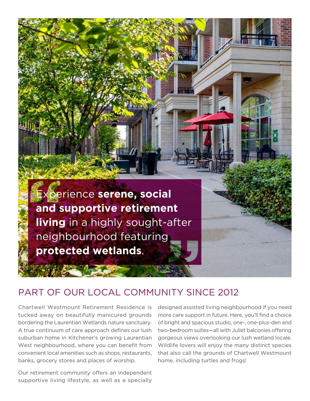

### PART OF OUR LOCAL COMMUNITY SINCE 2012

Chartwell Westmount Retirement Residence is tucked away on beautifully manicured grounds bordering the Laurentian Wetlands nature sanctuary. A true continuum of care approach defines our lush suburban home in Kitchener's growing Laurentian West neighbourhood, where you can benefit from convenient local amenities such as shops, restaurants, banks, grocery stores and places of worship.

Our retirement community offers an independent supportive living lifestyle, as well as a specially

designed assisted living neighbourhood if you need more care support in future. Here, you'll find a choice of bright and spacious studio, one-, one-plus-den and two-bedroom suites—all with Juliet balconies offering gorgeous views overlooking our lush wetland locale. Wildlife lovers will enjoy the many distinct species that also call the grounds of Chartwell Westmount home, including turtles and frogs!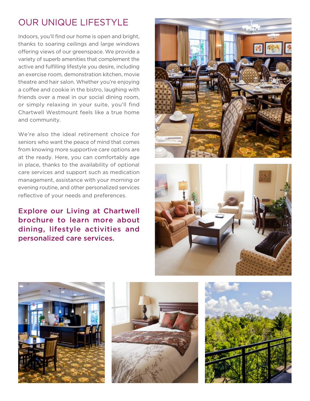# OUR UNIQUE LIFESTYLE

Indoors, you'll find our home is open and bright, thanks to soaring ceilings and large windows offering views of our greenspace. We provide a variety of superb amenities that complement the active and fulfilling lifestyle you desire, including an exercise room, demonstration kitchen, movie theatre and hair salon. Whether you're enjoying a coffee and cookie in the bistro, laughing with friends over a meal in our social dining room, or simply relaxing in your suite, you'll find Chartwell Westmount feels like a true home and community.

We're also the ideal retirement choice for seniors who want the peace of mind that comes from knowing more supportive care options are at the ready. Here, you can comfortably age in place, thanks to the availability of optional care services and support such as medication management, assistance with your morning or evening routine, and other personalized services reflective of your needs and preferences.

Explore our Living at Chartwell brochure to learn more about dining, lifestyle activities and personalized care services.









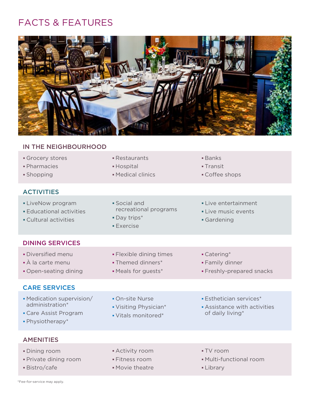## FACTS & FEATURES



#### IN THE NEIGHBOURHOOD

| Grocery stores                            | • Restaurants                                                                                                                       | $\blacksquare$ Banks   |
|-------------------------------------------|-------------------------------------------------------------------------------------------------------------------------------------|------------------------|
| • Pharmacies                              | • Hospital                                                                                                                          | $\blacksquare$ Transit |
| $\sim$ $\sim$ $\sim$ $\sim$ $\sim$ $\sim$ | $\mathbf{A}$ and $\mathbf{A}$ and $\mathbf{A}$ and $\mathbf{A}$ and $\mathbf{A}$ and $\mathbf{A}$ and $\mathbf{A}$ and $\mathbf{A}$ | $\sim$ $\sim$ $\sim$   |

#### **ACTIVITIES**

- ■LiveNow program Social and Social and Live entertainment
- Educational activities **Educational example 2 Live music events** • Cultural activities **Cultural activities Gardening** 
	- Exercise
- estaurants **Banks** 
	-
- **Shopping Medical clinics** Shopping Coffee shops

- DINING SERVICES
- Diversified menu Flexible dining times Catering\*
- À la carte menu Themed dinners\* Family dinner
- Open-seating dining Meals for guests\* Freshly-prepared snacks

#### CARE SERVICES

- Medication supervision/ On-site Nurse Esthetician services\* administration\* • Visiting Physician\* • Assistance with activities
- Care Assist Program **•** Vitals monitored\* **of daily living** Care Assist Program
- Physiotherapy\*
- 
- 
- AMENITIES
- Dining room **Activity room Activity room TV room**
- Private dining room Fitness room Multi-functional room
- Bistro/cafe Movie theatre **Library**
- 
- 
- 
- 
- 
- 

\*Fee-for-service may apply.